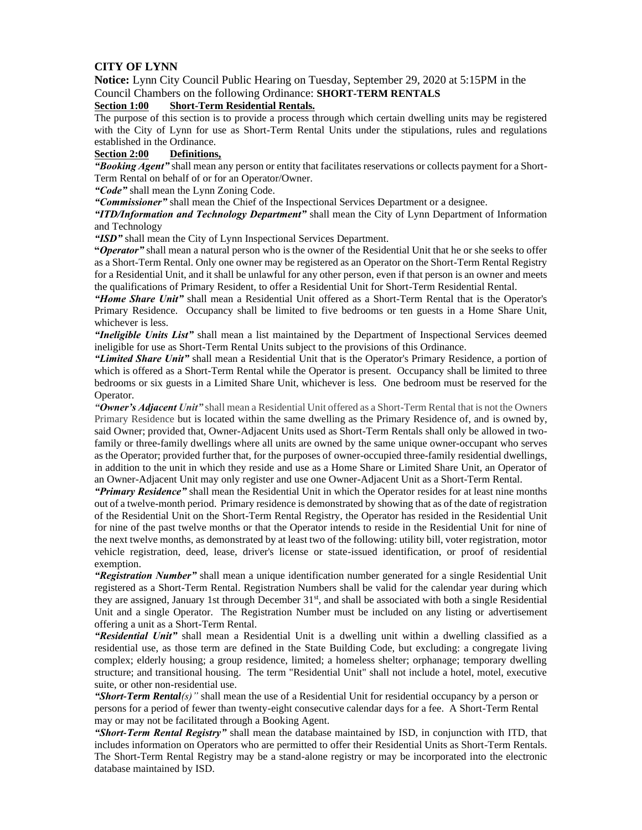# **CITY OF LYNN**

**Notice:** Lynn City Council Public Hearing on Tuesday, September 29, 2020 at 5:15PM in the Council Chambers on the following Ordinance: **SHORT-TERM RENTALS** 

## **Section 1:00 Short-Term Residential Rentals.**

The purpose of this section is to provide a process through which certain dwelling units may be registered with the City of Lynn for use as Short-Term Rental Units under the stipulations, rules and regulations established in the Ordinance.

# **Section 2:00 Definitions,**

*"Booking Agent"* shall mean any person or entity that facilitates reservations or collects payment for a Short-Term Rental on behalf of or for an Operator/Owner.

*"Code"* shall mean the Lynn Zoning Code.

*"Commissioner"* shall mean the Chief of the Inspectional Services Department or a designee.

*"ITD/Information and Technology Department"* shall mean the City of Lynn Department of Information and Technology

*"ISD"* shall mean the City of Lynn Inspectional Services Department.

**"***Operator"* shall mean a natural person who is the owner of the Residential Unit that he or she seeks to offer as a Short-Term Rental. Only one owner may be registered as an Operator on the Short-Term Rental Registry for a Residential Unit, and it shall be unlawful for any other person, even if that person is an owner and meets the qualifications of Primary Resident, to offer a Residential Unit for Short-Term Residential Rental.

*"Home Share Unit"* shall mean a Residential Unit offered as a Short-Term Rental that is the Operator's Primary Residence. Occupancy shall be limited to five bedrooms or ten guests in a Home Share Unit, whichever is less.

*"Ineligible Units List"* shall mean a list maintained by the Department of Inspectional Services deemed ineligible for use as Short-Term Rental Units subject to the provisions of this Ordinance.

*"Limited Share Unit"* shall mean a Residential Unit that is the Operator's Primary Residence, a portion of which is offered as a Short-Term Rental while the Operator is present. Occupancy shall be limited to three bedrooms or six guests in a Limited Share Unit, whichever is less. One bedroom must be reserved for the Operator.

*"Owner's Adjacent Unit"* shall mean a Residential Unit offered as a Short-Term Rental that is not the Owners Primary Residence but is located within the same dwelling as the Primary Residence of, and is owned by, said Owner; provided that, Owner-Adjacent Units used as Short-Term Rentals shall only be allowed in twofamily or three-family dwellings where all units are owned by the same unique owner-occupant who serves as the Operator; provided further that, for the purposes of owner-occupied three-family residential dwellings, in addition to the unit in which they reside and use as a Home Share or Limited Share Unit, an Operator of an Owner-Adjacent Unit may only register and use one Owner-Adjacent Unit as a Short-Term Rental.

*"Primary Residence"* shall mean the Residential Unit in which the Operator resides for at least nine months out of a twelve-month period. Primary residence is demonstrated by showing that as of the date of registration of the Residential Unit on the Short-Term Rental Registry, the Operator has resided in the Residential Unit for nine of the past twelve months or that the Operator intends to reside in the Residential Unit for nine of the next twelve months, as demonstrated by at least two of the following: utility bill, voter registration, motor vehicle registration, deed, lease, driver's license or state-issued identification, or proof of residential exemption.

*"Registration Number"* shall mean a unique identification number generated for a single Residential Unit registered as a Short-Term Rental. Registration Numbers shall be valid for the calendar year during which they are assigned, January 1st through December 31st, and shall be associated with both a single Residential Unit and a single Operator. The Registration Number must be included on any listing or advertisement offering a unit as a Short-Term Rental.

*"Residential Unit"* shall mean a Residential Unit is a dwelling unit within a dwelling classified as a residential use, as those term are defined in the State Building Code, but excluding: a congregate living complex; elderly housing; a group residence, limited; a homeless shelter; orphanage; temporary dwelling structure; and transitional housing. The term "Residential Unit" shall not include a hotel, motel, executive suite, or other non-residential use.

*"Short-Term Rental(s)"* shall mean the use of a Residential Unit for residential occupancy by a person or persons for a period of fewer than twenty-eight consecutive calendar days for a fee. A Short-Term Rental may or may not be facilitated through a Booking Agent.

*"Short-Term Rental Registry"* shall mean the database maintained by ISD, in conjunction with ITD, that includes information on Operators who are permitted to offer their Residential Units as Short-Term Rentals. The Short-Term Rental Registry may be a stand-alone registry or may be incorporated into the electronic database maintained by ISD.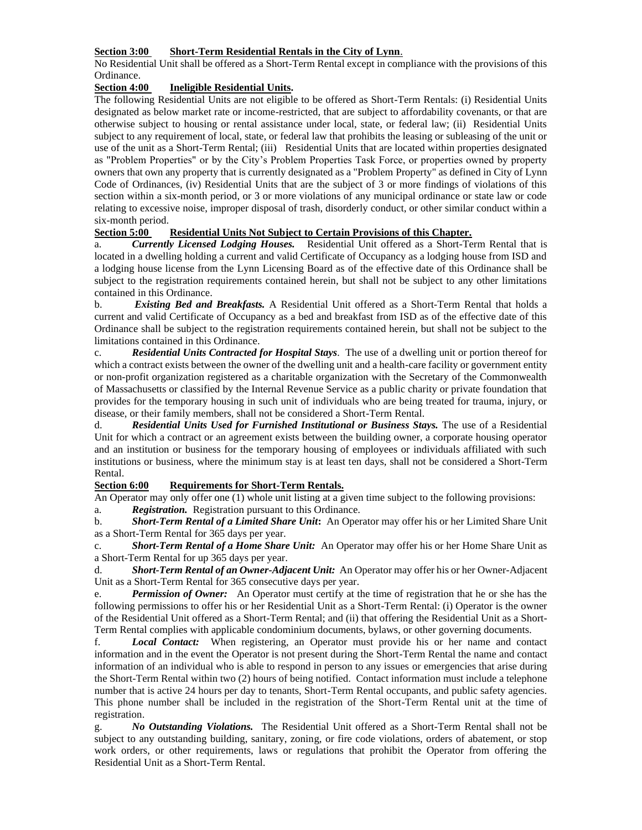## **Section 3:00 Short-Term Residential Rentals in the City of Lynn**.

No Residential Unit shall be offered as a Short-Term Rental except in compliance with the provisions of this Ordinance.

## **Section 4:00 Ineligible Residential Units.**

The following Residential Units are not eligible to be offered as Short-Term Rentals: (i) Residential Units designated as below market rate or income-restricted, that are subject to affordability covenants, or that are otherwise subject to housing or rental assistance under local, state, or federal law; (ii) Residential Units subject to any requirement of local, state, or federal law that prohibits the leasing or subleasing of the unit or use of the unit as a Short-Term Rental; (iii) Residential Units that are located within properties designated as "Problem Properties" or by the City's Problem Properties Task Force, or properties owned by property owners that own any property that is currently designated as a "Problem Property" as defined in City of Lynn Code of Ordinances, (iv) Residential Units that are the subject of 3 or more findings of violations of this section within a six-month period, or 3 or more violations of any municipal ordinance or state law or code relating to excessive noise, improper disposal of trash, disorderly conduct, or other similar conduct within a

#### six-month period.<br>Section 5:00 Residential Units Not Subject to Certain Provisions of this Chapter.

a. *Currently Licensed Lodging Houses.* Residential Unit offered as a Short-Term Rental that is located in a dwelling holding a current and valid Certificate of Occupancy as a lodging house from ISD and a lodging house license from the Lynn Licensing Board as of the effective date of this Ordinance shall be subject to the registration requirements contained herein, but shall not be subject to any other limitations contained in this Ordinance.

b. *Existing Bed and Breakfasts.* A Residential Unit offered as a Short-Term Rental that holds a current and valid Certificate of Occupancy as a bed and breakfast from ISD as of the effective date of this Ordinance shall be subject to the registration requirements contained herein, but shall not be subject to the limitations contained in this Ordinance.

c. *Residential Units Contracted for Hospital Stays.* The use of a dwelling unit or portion thereof for which a contract exists between the owner of the dwelling unit and a health-care facility or government entity or non-profit organization registered as a charitable organization with the Secretary of the Commonwealth of Massachusetts or classified by the Internal Revenue Service as a public charity or private foundation that provides for the temporary housing in such unit of individuals who are being treated for trauma, injury, or disease, or their family members, shall not be considered a Short-Term Rental.

d. *Residential Units Used for Furnished Institutional or Business Stays.* The use of a Residential Unit for which a contract or an agreement exists between the building owner, a corporate housing operator and an institution or business for the temporary housing of employees or individuals affiliated with such institutions or business, where the minimum stay is at least ten days, shall not be considered a Short-Term Rental.

# **Section 6:00 Requirements for Short-Term Rentals.**

An Operator may only offer one (1) whole unit listing at a given time subject to the following provisions: a. *Registration.* Registration pursuant to this Ordinance.

b. *Short-Term Rental of a Limited Share Unit***:** An Operator may offer his or her Limited Share Unit as a Short-Term Rental for 365 days per year.

c. *Short-Term Rental of a Home Share Unit:* An Operator may offer his or her Home Share Unit as a Short-Term Rental for up 365 days per year.

d. *Short-Term Rental of an Owner-Adjacent Unit:* An Operator may offer his or her Owner-Adjacent Unit as a Short-Term Rental for 365 consecutive days per year.

e. *Permission of Owner:* An Operator must certify at the time of registration that he or she has the following permissions to offer his or her Residential Unit as a Short-Term Rental: (i) Operator is the owner of the Residential Unit offered as a Short-Term Rental; and (ii) that offering the Residential Unit as a Short-Term Rental complies with applicable condominium documents, bylaws, or other governing documents.

f. *Local Contact:* When registering, an Operator must provide his or her name and contact information and in the event the Operator is not present during the Short-Term Rental the name and contact information of an individual who is able to respond in person to any issues or emergencies that arise during the Short-Term Rental within two (2) hours of being notified. Contact information must include a telephone number that is active 24 hours per day to tenants, Short-Term Rental occupants, and public safety agencies. This phone number shall be included in the registration of the Short-Term Rental unit at the time of registration.

g. *No Outstanding Violations.* The Residential Unit offered as a Short-Term Rental shall not be subject to any outstanding building, sanitary, zoning, or fire code violations, orders of abatement, or stop work orders, or other requirements, laws or regulations that prohibit the Operator from offering the Residential Unit as a Short-Term Rental.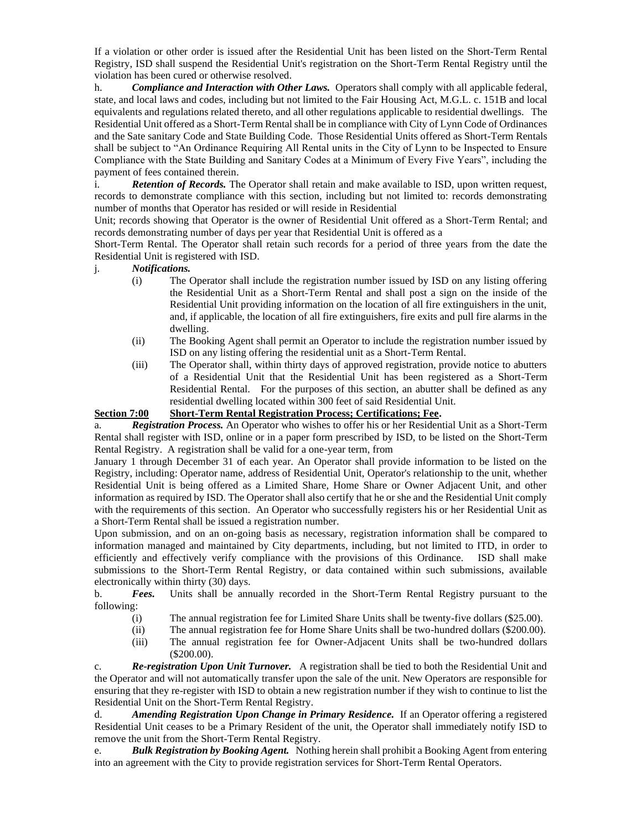If a violation or other order is issued after the Residential Unit has been listed on the Short-Term Rental Registry, ISD shall suspend the Residential Unit's registration on the Short-Term Rental Registry until the violation has been cured or otherwise resolved.

h. *Compliance and Interaction with Other Laws.* Operators shall comply with all applicable federal, state, and local laws and codes, including but not limited to the Fair Housing Act, M.G.L. c. 151B and local equivalents and regulations related thereto, and all other regulations applicable to residential dwellings. The Residential Unit offered as a Short-Term Rental shall be in compliance with City of Lynn Code of Ordinances and the Sate sanitary Code and State Building Code. Those Residential Units offered as Short-Term Rentals shall be subject to "An Ordinance Requiring All Rental units in the City of Lynn to be Inspected to Ensure Compliance with the State Building and Sanitary Codes at a Minimum of Every Five Years", including the payment of fees contained therein.

i. *Retention of Records.* The Operator shall retain and make available to ISD, upon written request, records to demonstrate compliance with this section, including but not limited to: records demonstrating number of months that Operator has resided or will reside in Residential

Unit; records showing that Operator is the owner of Residential Unit offered as a Short-Term Rental; and records demonstrating number of days per year that Residential Unit is offered as a

Short-Term Rental. The Operator shall retain such records for a period of three years from the date the Residential Unit is registered with ISD.

## j. *Notifications.*

- (i) The Operator shall include the registration number issued by ISD on any listing offering the Residential Unit as a Short-Term Rental and shall post a sign on the inside of the Residential Unit providing information on the location of all fire extinguishers in the unit, and, if applicable, the location of all fire extinguishers, fire exits and pull fire alarms in the dwelling.
- (ii) The Booking Agent shall permit an Operator to include the registration number issued by ISD on any listing offering the residential unit as a Short-Term Rental.
- (iii) The Operator shall, within thirty days of approved registration, provide notice to abutters of a Residential Unit that the Residential Unit has been registered as a Short-Term Residential Rental. For the purposes of this section, an abutter shall be defined as any residential dwelling located within 300 feet of said Residential Unit.

# **Section 7:00 Short-Term Rental Registration Process; Certifications; Fee.**

a. *Registration Process.* An Operator who wishes to offer his or her Residential Unit as a Short-Term Rental shall register with ISD, online or in a paper form prescribed by ISD, to be listed on the Short-Term Rental Registry. A registration shall be valid for a one-year term, from

January 1 through December 31 of each year. An Operator shall provide information to be listed on the Registry, including: Operator name, address of Residential Unit, Operator's relationship to the unit, whether Residential Unit is being offered as a Limited Share, Home Share or Owner Adjacent Unit, and other information as required by ISD. The Operator shall also certify that he or she and the Residential Unit comply with the requirements of this section. An Operator who successfully registers his or her Residential Unit as a Short-Term Rental shall be issued a registration number.

Upon submission, and on an on-going basis as necessary, registration information shall be compared to information managed and maintained by City departments, including, but not limited to ITD, in order to efficiently and effectively verify compliance with the provisions of this Ordinance. ISD shall make submissions to the Short-Term Rental Registry, or data contained within such submissions, available electronically within thirty (30) days.

b. *Fees.* Units shall be annually recorded in the Short-Term Rental Registry pursuant to the following:

- (i) The annual registration fee for Limited Share Units shall be twenty-five dollars (\$25.00).
- (ii) The annual registration fee for Home Share Units shall be two-hundred dollars (\$200.00).
- (iii) The annual registration fee for Owner-Adjacent Units shall be two-hundred dollars (\$200.00).

c. *Re-registration Upon Unit Turnover.* A registration shall be tied to both the Residential Unit and the Operator and will not automatically transfer upon the sale of the unit. New Operators are responsible for ensuring that they re-register with ISD to obtain a new registration number if they wish to continue to list the Residential Unit on the Short-Term Rental Registry.

d. *Amending Registration Upon Change in Primary Residence.* If an Operator offering a registered Residential Unit ceases to be a Primary Resident of the unit, the Operator shall immediately notify ISD to remove the unit from the Short-Term Rental Registry.

e. *Bulk Registration by Booking Agent.* Nothing herein shall prohibit a Booking Agent from entering into an agreement with the City to provide registration services for Short-Term Rental Operators.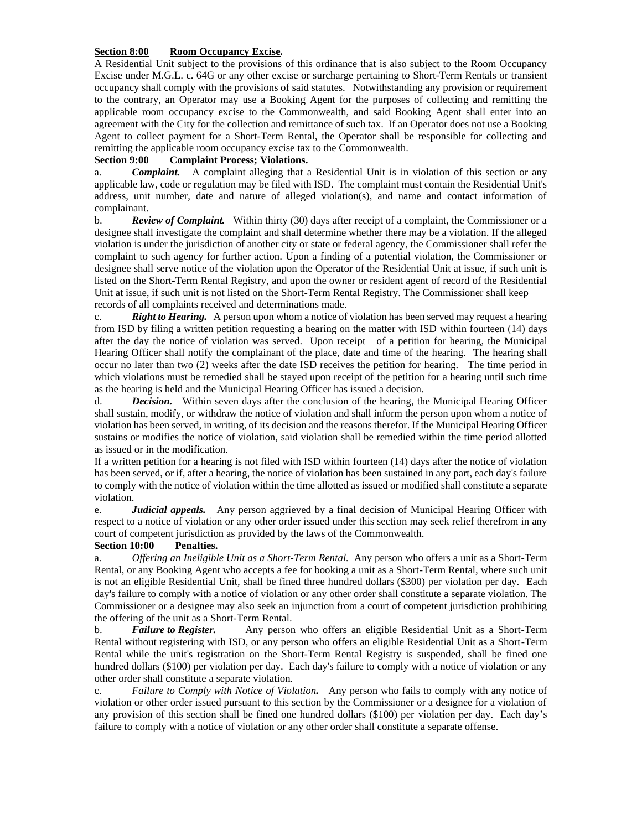## **Section 8:00 Room Occupancy Excise***.*

A Residential Unit subject to the provisions of this ordinance that is also subject to the Room Occupancy Excise under M.G.L. c. 64G or any other excise or surcharge pertaining to Short-Term Rentals or transient occupancy shall comply with the provisions of said statutes. Notwithstanding any provision or requirement to the contrary, an Operator may use a Booking Agent for the purposes of collecting and remitting the applicable room occupancy excise to the Commonwealth, and said Booking Agent shall enter into an agreement with the City for the collection and remittance of such tax. If an Operator does not use a Booking Agent to collect payment for a Short-Term Rental, the Operator shall be responsible for collecting and remitting the applicable room occupancy excise tax to the Commonwealth.

# **Section 9:00 Complaint Process; Violations.**

a. *Complaint.* A complaint alleging that a Residential Unit is in violation of this section or any applicable law, code or regulation may be filed with ISD. The complaint must contain the Residential Unit's address, unit number, date and nature of alleged violation(s), and name and contact information of complainant.

b. *Review of Complaint.* Within thirty (30) days after receipt of a complaint, the Commissioner or a designee shall investigate the complaint and shall determine whether there may be a violation. If the alleged violation is under the jurisdiction of another city or state or federal agency, the Commissioner shall refer the complaint to such agency for further action. Upon a finding of a potential violation, the Commissioner or designee shall serve notice of the violation upon the Operator of the Residential Unit at issue, if such unit is listed on the Short-Term Rental Registry, and upon the owner or resident agent of record of the Residential Unit at issue, if such unit is not listed on the Short-Term Rental Registry. The Commissioner shall keep records of all complaints received and determinations made.

c. *Right to Hearing.* A person upon whom a notice of violation has been served may request a hearing from ISD by filing a written petition requesting a hearing on the matter with ISD within fourteen (14) days after the day the notice of violation was served. Upon receipt of a petition for hearing, the Municipal Hearing Officer shall notify the complainant of the place, date and time of the hearing. The hearing shall occur no later than two (2) weeks after the date ISD receives the petition for hearing. The time period in which violations must be remedied shall be stayed upon receipt of the petition for a hearing until such time as the hearing is held and the Municipal Hearing Officer has issued a decision.

d. *Decision.* Within seven days after the conclusion of the hearing, the Municipal Hearing Officer shall sustain, modify, or withdraw the notice of violation and shall inform the person upon whom a notice of violation has been served, in writing, of its decision and the reasons therefor. If the Municipal Hearing Officer sustains or modifies the notice of violation, said violation shall be remedied within the time period allotted as issued or in the modification.

If a written petition for a hearing is not filed with ISD within fourteen (14) days after the notice of violation has been served, or if, after a hearing, the notice of violation has been sustained in any part, each day's failure to comply with the notice of violation within the time allotted as issued or modified shall constitute a separate violation.

e. *Judicial appeals.* Any person aggrieved by a final decision of Municipal Hearing Officer with respect to a notice of violation or any other order issued under this section may seek relief therefrom in any court of competent jurisdiction as provided by the laws of the Commonwealth.

## **Section 10:00 Penalties.**

a. *Offering an Ineligible Unit as a Short-Term Rental.* Any person who offers a unit as a Short-Term Rental, or any Booking Agent who accepts a fee for booking a unit as a Short-Term Rental, where such unit is not an eligible Residential Unit, shall be fined three hundred dollars (\$300) per violation per day. Each day's failure to comply with a notice of violation or any other order shall constitute a separate violation. The Commissioner or a designee may also seek an injunction from a court of competent jurisdiction prohibiting the offering of the unit as a Short-Term Rental.

b. *Failure to Register.* Any person who offers an eligible Residential Unit as a Short-Term Rental without registering with ISD, or any person who offers an eligible Residential Unit as a Short-Term Rental while the unit's registration on the Short-Term Rental Registry is suspended, shall be fined one hundred dollars (\$100) per violation per day. Each day's failure to comply with a notice of violation or any other order shall constitute a separate violation.

c. *Failure to Comply with Notice of Violation.* Any person who fails to comply with any notice of violation or other order issued pursuant to this section by the Commissioner or a designee for a violation of any provision of this section shall be fined one hundred dollars (\$100) per violation per day. Each day's failure to comply with a notice of violation or any other order shall constitute a separate offense.